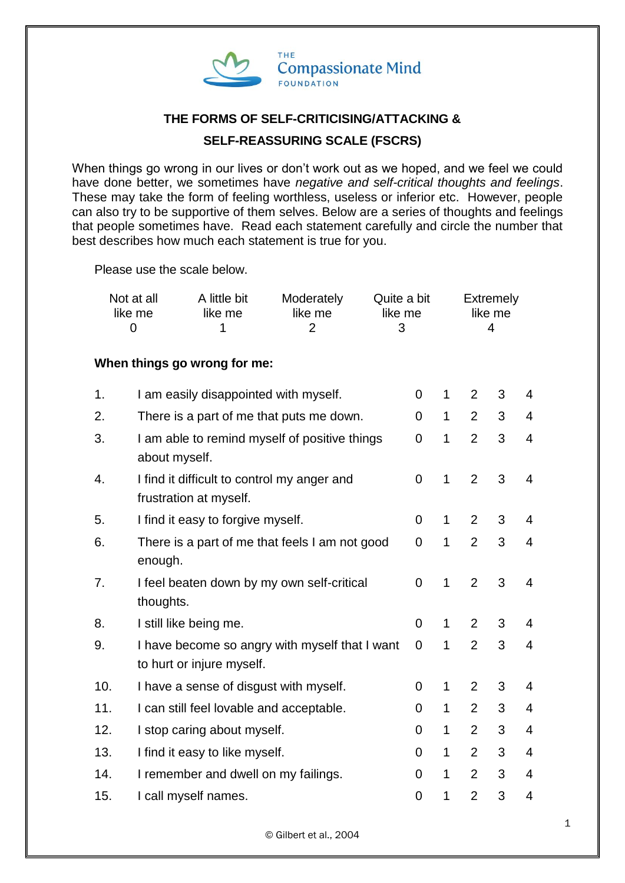

# **THE FORMS OF SELF-CRITICISING/ATTACKING & SELF-REASSURING SCALE (FSCRS)**

When things go wrong in our lives or don't work out as we hoped, and we feel we could have done better, we sometimes have *negative and self-critical thoughts and feelings*. These may take the form of feeling worthless, useless or inferior etc. However, people can also try to be supportive of them selves. Below are a series of thoughts and feelings that people sometimes have. Read each statement carefully and circle the number that best describes how much each statement is true for you.

Please use the scale below.

| Not at all | A little bit | Moderately | Quite a bit | Extremely |
|------------|--------------|------------|-------------|-----------|
| like me    | like me      | like me    | like me     | like me   |
|            |              |            | - 3         | 4         |

#### **When things go wrong for me:**

| 1.  | I am easily disappointed with myself.                                       | $\overline{0}$ | 1 | $\overline{2}$ | 3 | 4              |
|-----|-----------------------------------------------------------------------------|----------------|---|----------------|---|----------------|
| 2.  | There is a part of me that puts me down.                                    | 0              | 1 | 2              | 3 | $\overline{4}$ |
| 3.  | I am able to remind myself of positive things<br>about myself.              | 0              | 1 | $\overline{2}$ | 3 | $\overline{4}$ |
| 4.  | I find it difficult to control my anger and<br>frustration at myself.       | 0              | 1 | $\overline{2}$ | 3 | 4              |
| 5.  | I find it easy to forgive myself.                                           | 0              | 1 | $\overline{2}$ | 3 | 4              |
| 6.  | There is a part of me that feels I am not good<br>enough.                   | $\overline{0}$ | 1 | $\overline{2}$ | 3 | 4              |
| 7.  | I feel beaten down by my own self-critical<br>thoughts.                     | 0              | 1 | $\overline{2}$ | 3 | 4              |
| 8.  | I still like being me.                                                      | $\overline{0}$ | 1 | 2              | 3 | $\overline{4}$ |
| 9.  | I have become so angry with myself that I want<br>to hurt or injure myself. | 0              | 1 | $\overline{2}$ | 3 | 4              |
| 10. | I have a sense of disgust with myself.                                      | 0              | 1 | $\overline{2}$ | 3 | $\overline{4}$ |
| 11. | I can still feel lovable and acceptable.                                    | 0              | 1 | $\overline{2}$ | 3 | $\overline{4}$ |
| 12. | I stop caring about myself.                                                 | $\overline{0}$ | 1 | $\overline{2}$ | 3 | $\overline{4}$ |
| 13. | I find it easy to like myself.                                              | 0              | 1 | $\overline{2}$ | 3 | 4              |
| 14. | I remember and dwell on my failings.                                        | 0              | 1 | $\overline{2}$ | 3 | $\overline{4}$ |
| 15. | I call myself names.                                                        | $\overline{0}$ | 1 | $\overline{2}$ | 3 | 4              |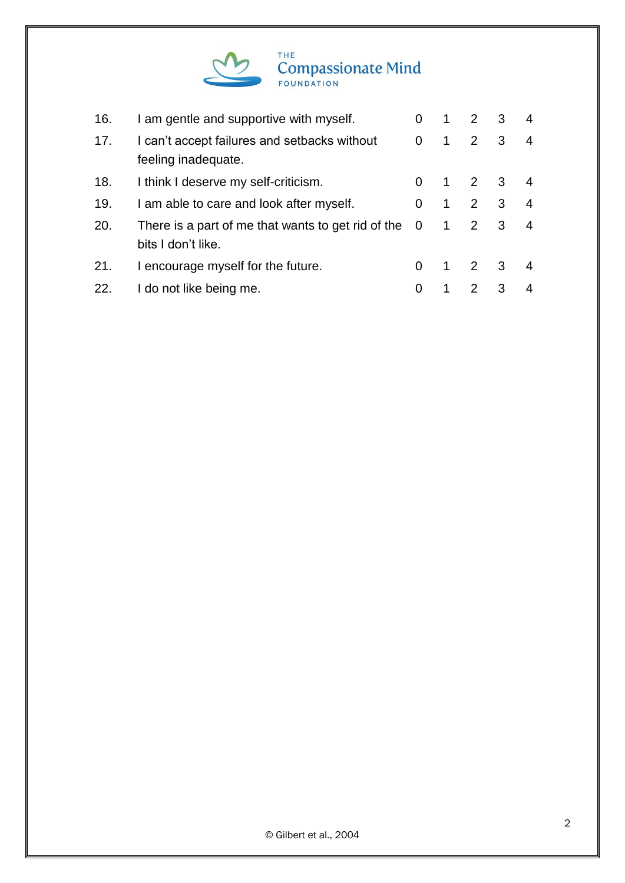

| 16. | I am gentle and supportive with myself.                                  | 0              | 1              | $2 \quad 3$         |                | 4              |
|-----|--------------------------------------------------------------------------|----------------|----------------|---------------------|----------------|----------------|
| 17. | I can't accept failures and setbacks without<br>feeling inadequate.      | $\Omega$       | $\mathbf 1$    | $2^{\circ}$         | $\mathbf{3}$   | 4              |
| 18. | I think I deserve my self-criticism.                                     |                |                |                     | 1 2 3 4        |                |
| 19. | I am able to care and look after myself.                                 | 0              | $\overline{1}$ | $2 \quad 3$         |                | $\overline{4}$ |
| 20. | There is a part of me that wants to get rid of the<br>bits I don't like. | $\overline{0}$ |                | $1 \quad 2$         | 3 <sup>1</sup> | $\overline{4}$ |
| 21. | I encourage myself for the future.                                       | 0              |                | $1 \quad 2 \quad 3$ |                | 4              |
| 22. | I do not like being me.                                                  | 0              | 1              | 2                   | 3              |                |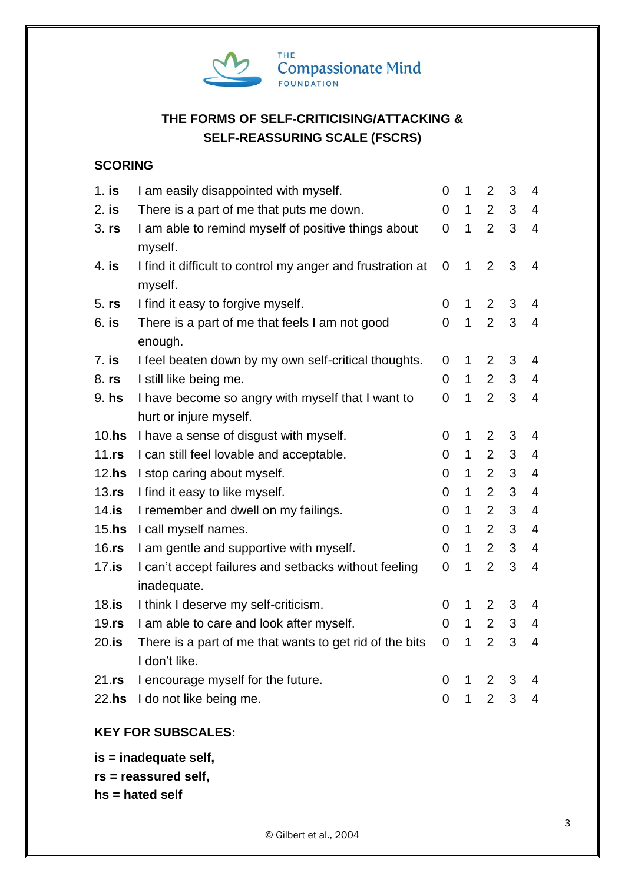

## **THE FORMS OF SELF-CRITICISING/ATTACKING & SELF-REASSURING SCALE (FSCRS)**

#### **SCORING**

| $1.$ is           | I am easily disappointed with myself.                                    | $\overline{0}$ | 1              | $\overline{2}$ | 3 | 4              |
|-------------------|--------------------------------------------------------------------------|----------------|----------------|----------------|---|----------------|
| $2.$ is           | There is a part of me that puts me down.                                 | $\overline{0}$ | $\overline{1}$ | $\overline{2}$ | 3 | $\overline{4}$ |
| 3. <b>rs</b>      | I am able to remind myself of positive things about<br>myself.           | $\mathbf 0$    | 1              | $\overline{2}$ | 3 | $\overline{4}$ |
| 4. is             | I find it difficult to control my anger and frustration at<br>myself.    | $\overline{0}$ | 1              | $\overline{2}$ | 3 | $\overline{4}$ |
| $5.$ rs           | I find it easy to forgive myself.                                        | $\Omega$       | 1              | $\overline{2}$ | 3 | 4              |
| $6.$ is           | There is a part of me that feels I am not good<br>enough.                | $\overline{0}$ | $\mathbf{1}$   | $\overline{2}$ | 3 | $\overline{4}$ |
| 7. is             | I feel beaten down by my own self-critical thoughts.                     | 0              | 1              | $\overline{2}$ | 3 | $\overline{4}$ |
| 8. rs             | I still like being me.                                                   | $\overline{0}$ | $\mathbf{1}$   | $\overline{2}$ | 3 | $\overline{4}$ |
| 9. h <sub>s</sub> | I have become so angry with myself that I want to                        | $\overline{0}$ | 1              | $\overline{2}$ | 3 | $\overline{4}$ |
|                   | hurt or injure myself.                                                   |                |                |                |   |                |
| 10.hs             | I have a sense of disgust with myself.                                   | 0              | 1              | $\overline{2}$ | 3 | $\overline{4}$ |
| 11.rs             | I can still feel lovable and acceptable.                                 | $\overline{0}$ | 1              | $\overline{2}$ | 3 | 4              |
| 12.hs             | I stop caring about myself.                                              | 0              | 1              | $\overline{2}$ | 3 | $\overline{4}$ |
| 13.rs             | I find it easy to like myself.                                           | $\overline{0}$ | 1              | $\overline{2}$ | 3 | $\overline{4}$ |
| $14.$ is          | I remember and dwell on my failings.                                     | 0              | 1              | $\overline{2}$ | 3 | $\overline{4}$ |
| 15.hs             | I call myself names.                                                     | $\Omega$       | 1              | $\overline{2}$ | 3 | $\overline{4}$ |
| 16.rs             | I am gentle and supportive with myself.                                  | $\mathbf 0$    | 1              | $\overline{2}$ | 3 | $\overline{4}$ |
| 17.is             | I can't accept failures and setbacks without feeling<br>inadequate.      | $\Omega$       | 1              | $\overline{2}$ | 3 | $\overline{4}$ |
| $18.$ is          | I think I deserve my self-criticism.                                     | $\overline{0}$ | 1              | $\overline{2}$ | 3 | 4              |
| $19$ .rs          | I am able to care and look after myself.                                 | $\Omega$       | $\mathbf{1}$   | $\overline{2}$ | 3 | $\overline{4}$ |
| 20.is             | There is a part of me that wants to get rid of the bits<br>I don't like. | $\mathbf 0$    | 1              | $\overline{2}$ | 3 | $\overline{4}$ |
| 21.rs             | I encourage myself for the future.                                       | $\overline{0}$ | 1              | $\overline{2}$ | 3 | 4              |
| 22.hs             | I do not like being me.                                                  | $\overline{0}$ | 1              | $\overline{2}$ | 3 | 4              |

### **KEY FOR SUBSCALES:**

**is = inadequate self,** 

**rs = reassured self,** 

**hs = hated self**